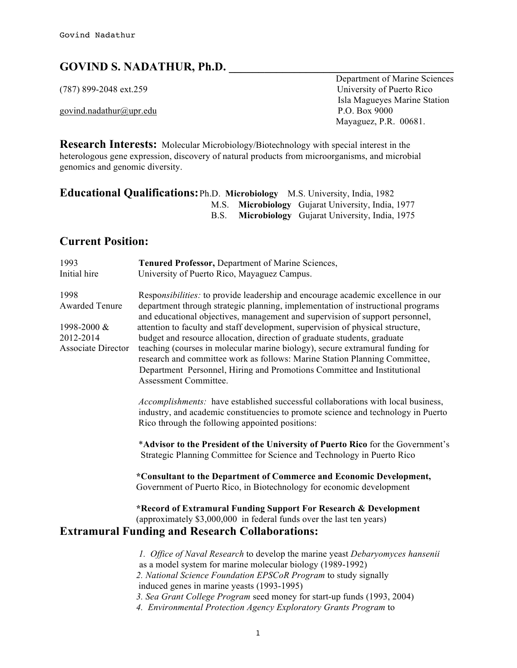# **GOVIND S. NADATHUR, Ph.D. \_\_\_\_\_\_\_\_\_\_\_\_\_\_\_\_\_\_\_\_\_\_\_\_\_\_\_\_\_\_\_\_\_\_\_\_\_\_**

govind.nadathur@upr.edu P.O. Box 9000

**Department of Marine Sciences** (787) 899-2048 ext.259 University of Puerto Rico Isla Magueyes Marine Station Mayaguez, P.R. 00681.

**Research Interests:** Molecular Microbiology/Biotechnology with special interest in the heterologous gene expression, discovery of natural products from microorganisms, and microbial genomics and genomic diversity.

| <b>Educational Qualifications:</b> Ph.D. Microbiology M.S. University, India, 1982 |  |                                                   |
|------------------------------------------------------------------------------------|--|---------------------------------------------------|
|                                                                                    |  | M.S. Microbiology Gujarat University, India, 1977 |
|                                                                                    |  | B.S. Microbiology Gujarat University, India, 1975 |

#### **Current Position:**

| 1993                                                                                   | Tenured Professor, Department of Marine Sciences,                                                                                                                                                                                                                                                                                                                                                                                                                                                                                                                                                                                                                                    |
|----------------------------------------------------------------------------------------|--------------------------------------------------------------------------------------------------------------------------------------------------------------------------------------------------------------------------------------------------------------------------------------------------------------------------------------------------------------------------------------------------------------------------------------------------------------------------------------------------------------------------------------------------------------------------------------------------------------------------------------------------------------------------------------|
| Initial hire                                                                           | University of Puerto Rico, Mayaguez Campus.                                                                                                                                                                                                                                                                                                                                                                                                                                                                                                                                                                                                                                          |
| 1998<br><b>Awarded Tenure</b><br>1998-2000 &<br>2012-2014<br><b>Associate Director</b> | Responsibilities: to provide leadership and encourage academic excellence in our<br>department through strategic planning, implementation of instructional programs<br>and educational objectives, management and supervision of support personnel,<br>attention to faculty and staff development, supervision of physical structure,<br>budget and resource allocation, direction of graduate students, graduate<br>teaching (courses in molecular marine biology), secure extramural funding for<br>research and committee work as follows: Marine Station Planning Committee,<br>Department Personnel, Hiring and Promotions Committee and Institutional<br>Assessment Committee. |
|                                                                                        | Accomplishments: have established successful collaborations with local business,<br>industry, and academic constituencies to promote science and technology in Puerto<br>Rico through the following appointed positions:                                                                                                                                                                                                                                                                                                                                                                                                                                                             |
|                                                                                        | *Advisor to the President of the University of Puerto Rico for the Government's<br>Strategic Planning Committee for Science and Technology in Puerto Rico                                                                                                                                                                                                                                                                                                                                                                                                                                                                                                                            |
|                                                                                        | *Consultant to the Department of Commerce and Economic Development,<br>Government of Puerto Rico, in Biotechnology for economic development                                                                                                                                                                                                                                                                                                                                                                                                                                                                                                                                          |
|                                                                                        | *Record of Extramural Funding Support For Research & Development<br>(approximately \$3,000,000 in federal funds over the last ten years)                                                                                                                                                                                                                                                                                                                                                                                                                                                                                                                                             |
|                                                                                        | <b>Extramural Funding and Research Collaborations:</b>                                                                                                                                                                                                                                                                                                                                                                                                                                                                                                                                                                                                                               |
|                                                                                        | 1. Office of Naval Research to develop the marine yeast Debaryomyces hansenii<br>as a model system for marine molecular biology (1989-1992)<br>2. National Science Foundation EPSCoR Program to study signally<br>induced genes in marine yeasts (1993-1995)<br>3. Sea Grant College Program seed money for start-up funds (1993, 2004)                                                                                                                                                                                                                                                                                                                                              |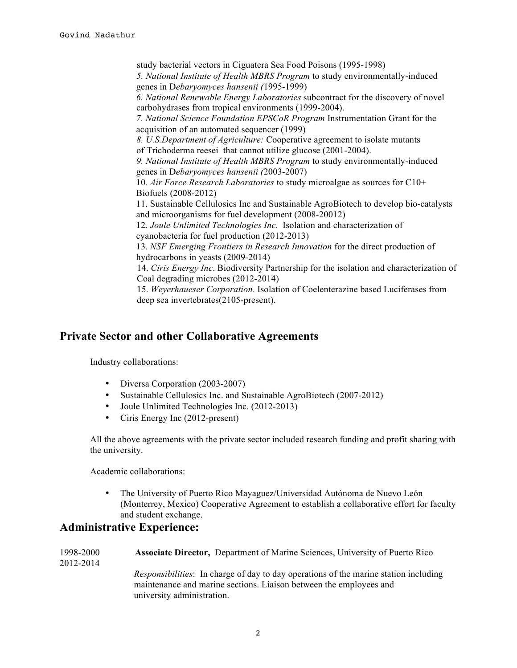study bacterial vectors in Ciguatera Sea Food Poisons (1995-1998)  *5. National Institute of Health MBRS Program* to study environmentally-induced genes in D*ebaryomyces hansenii (*1995-1999)  *6. National Renewable Energy Laboratories* subcontract for the discovery of novel carbohydrases from tropical environments (1999-2004).  *7. National Science Foundation EPSCoR Program* Instrumentation Grant for the acquisition of an automated sequencer (1999)  *8. U.S.Department of Agriculture:* Cooperative agreement to isolate mutants of Trichoderma reesei that cannot utilize glucose (2001-2004).  *9. National Institute of Health MBRS Program* to study environmentally-induced genes in D*ebaryomyces hansenii (*2003-2007) 10. *Air Force Research Laboratories* to study microalgae as sources for C10+ Biofuels (2008-2012) 11. Sustainable Cellulosics Inc and Sustainable AgroBiotech to develop bio-catalysts and microorganisms for fuel development (2008-20012) 12. *Joule Unlimited Technologies Inc*. Isolation and characterization of cyanobacteria for fuel production (2012-2013) 13. *NSF Emerging Frontiers in Research Innovation* for the direct production of hydrocarbons in yeasts (2009-2014) 14. *Ciris Energy Inc*. Biodiversity Partnership for the isolation and characterization of Coal degrading microbes (2012-2014) 15. *Weyerhaueser Corporation*. Isolation of Coelenterazine based Luciferases from deep sea invertebrates(2105-present).

#### **Private Sector and other Collaborative Agreements**

Industry collaborations:

- Diversa Corporation (2003-2007)
- Sustainable Cellulosics Inc. and Sustainable AgroBiotech (2007-2012)
- Joule Unlimited Technologies Inc. (2012-2013)
- Ciris Energy Inc (2012-present)

All the above agreements with the private sector included research funding and profit sharing with the university.

Academic collaborations:

• The University of Puerto Rico Mayaguez/Universidad Autónoma de Nuevo León (Monterrey, Mexico) Cooperative Agreement to establish a collaborative effort for faculty and student exchange.

#### **Administrative Experience:**

| 1998-2000<br>2012-2014 | <b>Associate Director, Department of Marine Sciences, University of Puerto Rico</b>                                                                                                             |
|------------------------|-------------------------------------------------------------------------------------------------------------------------------------------------------------------------------------------------|
|                        | <i>Responsibilities:</i> In charge of day to day operations of the marine station including<br>maintenance and marine sections. Liaison between the employees and<br>university administration. |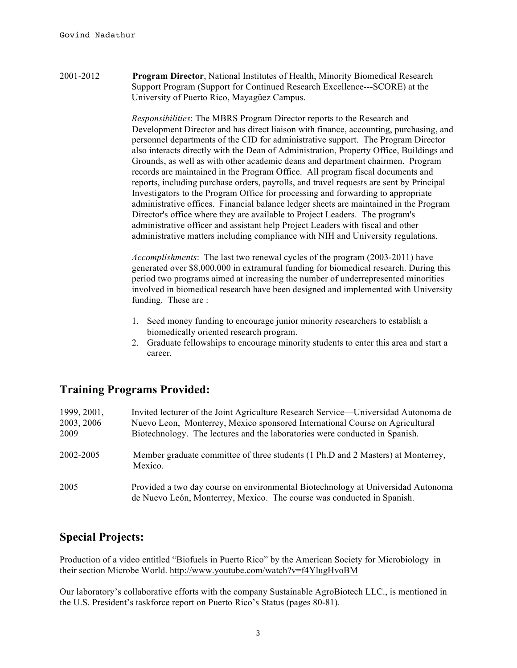2001-2012 **Program Director**, National Institutes of Health, Minority Biomedical Research Support Program (Support for Continued Research Excellence---SCORE) at the University of Puerto Rico, Mayagüez Campus.

> *Responsibilities*: The MBRS Program Director reports to the Research and Development Director and has direct liaison with finance, accounting, purchasing, and personnel departments of the CID for administrative support. The Program Director also interacts directly with the Dean of Administration, Property Office, Buildings and Grounds, as well as with other academic deans and department chairmen. Program records are maintained in the Program Office. All program fiscal documents and reports, including purchase orders, payrolls, and travel requests are sent by Principal Investigators to the Program Office for processing and forwarding to appropriate administrative offices. Financial balance ledger sheets are maintained in the Program Director's office where they are available to Project Leaders. The program's administrative officer and assistant help Project Leaders with fiscal and other administrative matters including compliance with NIH and University regulations.

> *Accomplishments*: The last two renewal cycles of the program (2003-2011) have generated over \$8,000.000 in extramural funding for biomedical research. During this period two programs aimed at increasing the number of underrepresented minorities involved in biomedical research have been designed and implemented with University funding. These are :

- 1. Seed money funding to encourage junior minority researchers to establish a biomedically oriented research program.
- 2. Graduate fellowships to encourage minority students to enter this area and start a career.

## **Training Programs Provided:**

| 1999, 2001,<br>2003, 2006<br>2009 | Invited lecturer of the Joint Agriculture Research Service—Universidad Autonoma de<br>Nuevo Leon, Monterrey, Mexico sponsored International Course on Agricultural<br>Biotechnology. The lectures and the laboratories were conducted in Spanish. |
|-----------------------------------|---------------------------------------------------------------------------------------------------------------------------------------------------------------------------------------------------------------------------------------------------|
| 2002-2005                         | Member graduate committee of three students (1 Ph.D and 2 Masters) at Monterrey,<br>Mexico.                                                                                                                                                       |
| 2005                              | Provided a two day course on environmental Biotechnology at Universidad Autonoma<br>de Nuevo León, Monterrey, Mexico. The course was conducted in Spanish.                                                                                        |

## **Special Projects:**

Production of a video entitled "Biofuels in Puerto Rico" by the American Society for Microbiology in their section Microbe World. http://www.youtube.com/watch?v=f4YlugHvoBM

Our laboratory's collaborative efforts with the company Sustainable AgroBiotech LLC., is mentioned in the U.S. President's taskforce report on Puerto Rico's Status (pages 80-81).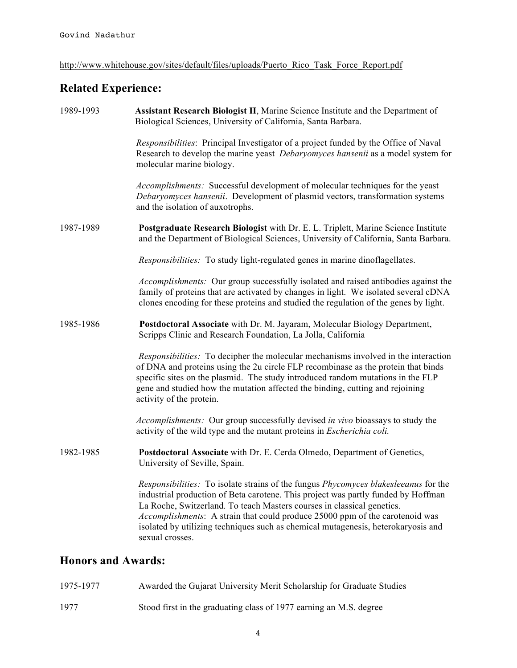http://www.whitehouse.gov/sites/default/files/uploads/Puerto\_Rico\_Task\_Force\_Report.pdf

## **Related Experience:**

| 1989-1993                 | Assistant Research Biologist II, Marine Science Institute and the Department of<br>Biological Sciences, University of California, Santa Barbara.                                                                                                                                                                                                                                                                                           |
|---------------------------|--------------------------------------------------------------------------------------------------------------------------------------------------------------------------------------------------------------------------------------------------------------------------------------------------------------------------------------------------------------------------------------------------------------------------------------------|
|                           | Responsibilities: Principal Investigator of a project funded by the Office of Naval<br>Research to develop the marine yeast <i>Debaryomyces hansenii</i> as a model system for<br>molecular marine biology.                                                                                                                                                                                                                                |
|                           | Accomplishments: Successful development of molecular techniques for the yeast<br>Debaryomyces hansenii. Development of plasmid vectors, transformation systems<br>and the isolation of auxotrophs.                                                                                                                                                                                                                                         |
| 1987-1989                 | Postgraduate Research Biologist with Dr. E. L. Triplett, Marine Science Institute<br>and the Department of Biological Sciences, University of California, Santa Barbara.                                                                                                                                                                                                                                                                   |
|                           | Responsibilities: To study light-regulated genes in marine dinoflagellates.                                                                                                                                                                                                                                                                                                                                                                |
|                           | Accomplishments: Our group successfully isolated and raised antibodies against the<br>family of proteins that are activated by changes in light. We isolated several cDNA<br>clones encoding for these proteins and studied the regulation of the genes by light.                                                                                                                                                                          |
| 1985-1986                 | Postdoctoral Associate with Dr. M. Jayaram, Molecular Biology Department,<br>Scripps Clinic and Research Foundation, La Jolla, California                                                                                                                                                                                                                                                                                                  |
|                           | Responsibilities: To decipher the molecular mechanisms involved in the interaction<br>of DNA and proteins using the 2u circle FLP recombinase as the protein that binds<br>specific sites on the plasmid. The study introduced random mutations in the FLP<br>gene and studied how the mutation affected the binding, cutting and rejoining<br>activity of the protein.                                                                    |
|                           | Accomplishments: Our group successfully devised in vivo bioassays to study the<br>activity of the wild type and the mutant proteins in <i>Escherichia coli</i> .                                                                                                                                                                                                                                                                           |
| 1982-1985                 | Postdoctoral Associate with Dr. E. Cerda Olmedo, Department of Genetics,<br>University of Seville, Spain.                                                                                                                                                                                                                                                                                                                                  |
|                           | Responsibilities: To isolate strains of the fungus Phycomyces blakesleeanus for the<br>industrial production of Beta carotene. This project was partly funded by Hoffman<br>La Roche, Switzerland. To teach Masters courses in classical genetics.<br>Accomplishments: A strain that could produce 25000 ppm of the carotenoid was<br>isolated by utilizing techniques such as chemical mutagenesis, heterokaryosis and<br>sexual crosses. |
| <b>Honors and Awards:</b> |                                                                                                                                                                                                                                                                                                                                                                                                                                            |

| 1975-1977 | Awarded the Gujarat University Merit Scholarship for Graduate Studies |
|-----------|-----------------------------------------------------------------------|
| 1977      | Stood first in the graduating class of 1977 earning an M.S. degree    |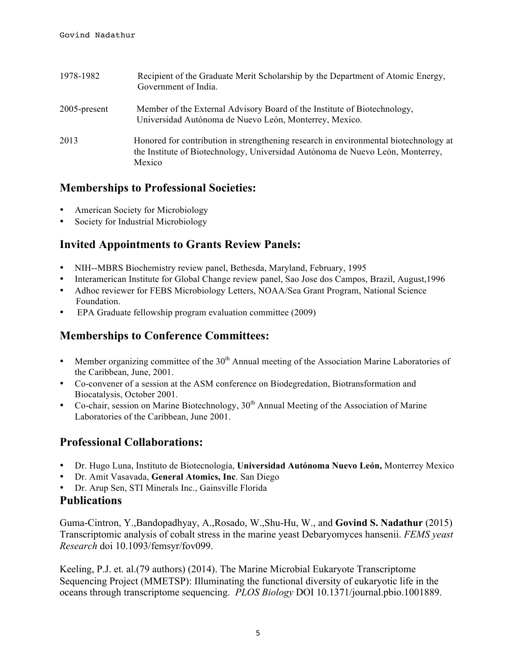| 1978-1982    | Recipient of the Graduate Merit Scholarship by the Department of Atomic Energy,<br>Government of India.                                                                          |
|--------------|----------------------------------------------------------------------------------------------------------------------------------------------------------------------------------|
| 2005-present | Member of the External Advisory Board of the Institute of Biotechnology,<br>Universidad Autónoma de Nuevo León, Monterrey, Mexico.                                               |
| 2013         | Honored for contribution in strengthening research in environmental biotechnology at<br>the Institute of Biotechnology, Universidad Autónoma de Nuevo León, Monterrey,<br>Mexico |

## **Memberships to Professional Societies:**

- American Society for Microbiology
- Society for Industrial Microbiology

## **Invited Appointments to Grants Review Panels:**

- NIH--MBRS Biochemistry review panel, Bethesda, Maryland, February, 1995
- Interamerican Institute for Global Change review panel, Sao Jose dos Campos, Brazil, August,1996
- Adhoc reviewer for FEBS Microbiology Letters, NOAA/Sea Grant Program, National Science Foundation.
- EPA Graduate fellowship program evaluation committee (2009)

## **Memberships to Conference Committees:**

- Member organizing committee of the  $30<sup>th</sup>$  Annual meeting of the Association Marine Laboratories of the Caribbean, June, 2001.
- Co-convener of a session at the ASM conference on Biodegredation, Biotransformation and Biocatalysis, October 2001.
- $\epsilon$  Co-chair, session on Marine Biotechnology,  $30<sup>th</sup>$  Annual Meeting of the Association of Marine Laboratories of the Caribbean, June 2001.

## **Professional Collaborations:**

- Dr. Hugo Luna, Instituto de Biotecnología, **Universidad Autónoma Nuevo León,** Monterrey Mexico
- Dr. Amit Vasavada, **General Atomics, Inc**. San Diego
- Dr. Arup Sen, STI Minerals Inc., Gainsville Florida

#### **Publications**

Guma-Cintron, Y.,Bandopadhyay, A.,Rosado, W.,Shu-Hu, W., and **Govind S. Nadathur** (2015) Transcriptomic analysis of cobalt stress in the marine yeast Debaryomyces hansenii. *FEMS yeast Research* doi 10.1093/femsyr/fov099.

Keeling, P.J. et. al.(79 authors) (2014). The Marine Microbial Eukaryote Transcriptome Sequencing Project (MMETSP): Illuminating the functional diversity of eukaryotic life in the oceans through transcriptome sequencing. *PLOS Biology* DOI 10.1371/journal.pbio.1001889.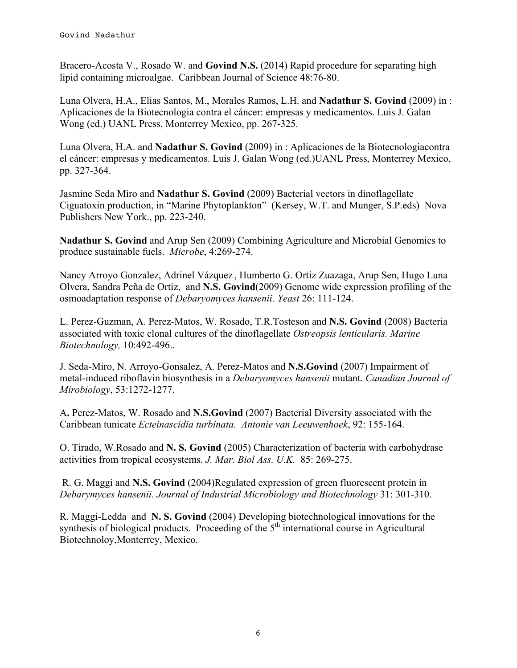Bracero-Acosta V., Rosado W. and **Govind N.S.** (2014) Rapid procedure for separating high lipid containing microalgae. Caribbean Journal of Science 48:76-80.

Luna Olvera, H.A., Elias Santos, M., Morales Ramos, L.H. and **Nadathur S. Govind** (2009) in : Aplicaciones de la Biotecnologia contra el cáncer: empresas y medicamentos. Luis J. Galan Wong (ed.) UANL Press, Monterrey Mexico, pp. 267-325.

Luna Olvera, H.A. and **Nadathur S. Govind** (2009) in : Aplicaciones de la Biotecnologiacontra el cáncer: empresas y medicamentos. Luis J. Galan Wong (ed.)UANL Press, Monterrey Mexico, pp. 327-364.

Jasmine Seda Miro and **Nadathur S. Govind** (2009) Bacterial vectors in dinoflagellate Ciguatoxin production, in "Marine Phytoplankton" (Kersey, W.T. and Munger, S.P.eds) Nova Publishers New York., pp. 223-240.

**Nadathur S. Govind** and Arup Sen (2009) Combining Agriculture and Microbial Genomics to produce sustainable fuels. *Microbe*, 4:269-274.

Nancy Arroyo Gonzalez, Adrinel Vázquez , Humberto G. Ortiz Zuazaga, Arup Sen, Hugo Luna Olvera, Sandra Peña de Ortiz, and **N.S. Govind**(2009) Genome wide expression profiling of the osmoadaptation response of *Debaryomyces hansenii. Yeast* 26: 111-124.

L. Perez-Guzman, A. Perez-Matos, W. Rosado, T.R.Tosteson and **N.S. Govind** (2008) Bacteria associated with toxic clonal cultures of the dinoflagellate *Ostreopsis lenticularis. Marine Biotechnology,* 10:492-496..

J. Seda-Miro, N. Arroyo-Gonsalez, A. Perez-Matos and **N.S.Govind** (2007) Impairment of metal-induced riboflavin biosynthesis in a *Debaryomyces hansenii* mutant. *Canadian Journal of Mirobiology*, 53:1272-1277.

A**.** Perez-Matos, W. Rosado and **N.S.Govind** (2007) Bacterial Diversity associated with the Caribbean tunicate *Ecteinascidia turbinata. Antonie van Leeuwenhoek*, 92: 155-164.

O. Tirado, W.Rosado and **N. S. Govind** (2005) Characterization of bacteria with carbohydrase activities from tropical ecosystems. *J. Mar. Biol Ass. U.K.* 85: 269-275.

R. G. Maggi and **N.S. Govind** (2004)Regulated expression of green fluorescent protein in *Debarymyces hansenii*. *Journal of Industrial Microbiology and Biotechnology* 31: 301-310.

R. Maggi-Ledda and **N. S. Govind** (2004) Developing biotechnological innovations for the synthesis of biological products. Proceeding of the  $5<sup>th</sup>$  international course in Agricultural Biotechnoloy,Monterrey, Mexico.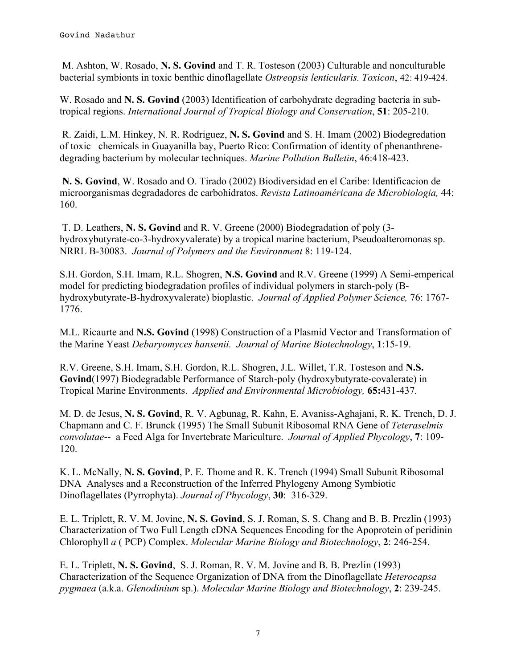M. Ashton, W. Rosado, **N. S. Govind** and T. R. Tosteson (2003) Culturable and nonculturable bacterial symbionts in toxic benthic dinoflagellate *Ostreopsis lenticularis. Toxicon*, 42: 419-424.

W. Rosado and **N. S. Govind** (2003) Identification of carbohydrate degrading bacteria in subtropical regions. *International Journal of Tropical Biology and Conservation*, **51**: 205-210.

R. Zaidi, L.M. Hinkey, N. R. Rodriguez, **N. S. Govind** and S. H. Imam (2002) Biodegredation of toxic chemicals in Guayanilla bay, Puerto Rico: Confirmation of identity of phenanthrenedegrading bacterium by molecular techniques. *Marine Pollution Bulletin*, 46:418-423.

**N. S. Govind**, W. Rosado and O. Tirado (2002) Biodiversidad en el Caribe: Identificacion de microorganismas degradadores de carbohidratos. *Revista Latinoaméricana de Microbiologia,* 44: 160.

T. D. Leathers, **N. S. Govind** and R. V. Greene (2000) Biodegradation of poly (3 hydroxybutyrate-co-3-hydroxyvalerate) by a tropical marine bacterium, Pseudoalteromonas sp. NRRL B-30083. *Journal of Polymers and the Environment* 8: 119-124.

S.H. Gordon, S.H. Imam, R.L. Shogren, **N.S. Govind** and R.V. Greene (1999) A Semi-emperical model for predicting biodegradation profiles of individual polymers in starch-poly (Bhydroxybutyrate-B-hydroxyvalerate) bioplastic. *Journal of Applied Polymer Science,* 76: 1767- 1776.

M.L. Ricaurte and **N.S. Govind** (1998) Construction of a Plasmid Vector and Transformation of the Marine Yeast *Debaryomyces hansenii. Journal of Marine Biotechnology*, **1**:15-19.

R.V. Greene, S.H. Imam, S.H. Gordon, R.L. Shogren, J.L. Willet, T.R. Tosteson and **N.S. Govind**(1997) Biodegradable Performance of Starch-poly (hydroxybutyrate-covalerate) in Tropical Marine Environments. *Applied and Environmental Microbiology,* **65:**431-437*.*

M. D. de Jesus, **N. S. Govind**, R. V. Agbunag, R. Kahn, E. Avaniss-Aghajani, R. K. Trench, D. J. Chapmann and C. F. Brunck (1995) The Small Subunit Ribosomal RNA Gene of *Teteraselmis convolutae*-- a Feed Alga for Invertebrate Mariculture. *Journal of Applied Phycology*, **7**: 109- 120.

K. L. McNally, **N. S. Govind**, P. E. Thome and R. K. Trench (1994) Small Subunit Ribosomal DNA Analyses and a Reconstruction of the Inferred Phylogeny Among Symbiotic Dinoflagellates (Pyrrophyta). *Journal of Phycology*, **30**: 316-329.

E. L. Triplett, R. V. M. Jovine, **N. S. Govind**, S. J. Roman, S. S. Chang and B. B. Prezlin (1993) Characterization of Two Full Length cDNA Sequences Encoding for the Apoprotein of peridinin Chlorophyll *a* ( PCP) Complex. *Molecular Marine Biology and Biotechnology*, **2**: 246-254.

E. L. Triplett, **N. S. Govind**, S. J. Roman, R. V. M. Jovine and B. B. Prezlin (1993) Characterization of the Sequence Organization of DNA from the Dinoflagellate *Heterocapsa pygmaea* (a.k.a. *Glenodinium* sp.). *Molecular Marine Biology and Biotechnology*, **2**: 239-245.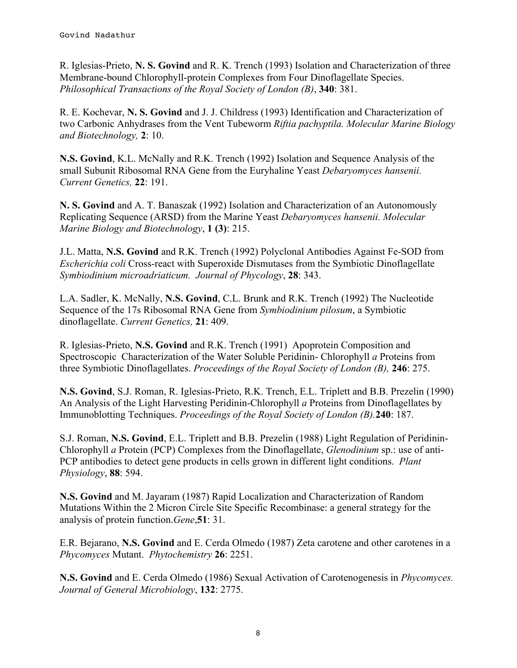R. Iglesias-Prieto, **N. S. Govind** and R. K. Trench (1993) Isolation and Characterization of three Membrane-bound Chlorophyll-protein Complexes from Four Dinoflagellate Species. *Philosophical Transactions of the Royal Society of London (B)*, **340**: 381.

R. E. Kochevar, **N. S. Govind** and J. J. Childress (1993) Identification and Characterization of two Carbonic Anhydrases from the Vent Tubeworm *Riftia pachyptila. Molecular Marine Biology and Biotechnology,* **2**: 10.

**N.S. Govind**, K.L. McNally and R.K. Trench (1992) Isolation and Sequence Analysis of the small Subunit Ribosomal RNA Gene from the Euryhaline Yeast *Debaryomyces hansenii. Current Genetics,* **22**: 191.

**N. S. Govind** and A. T. Banaszak (1992) Isolation and Characterization of an Autonomously Replicating Sequence (ARSD) from the Marine Yeast *Debaryomyces hansenii. Molecular Marine Biology and Biotechnology*, **1 (3)**: 215.

J.L. Matta, **N.S. Govind** and R.K. Trench (1992) Polyclonal Antibodies Against Fe-SOD from *Escherichia coli* Cross-react with Superoxide Dismutases from the Symbiotic Dinoflagellate *Symbiodinium microadriaticum. Journal of Phycology*, **28**: 343.

L.A. Sadler, K. McNally, **N.S. Govind**, C.L. Brunk and R.K. Trench (1992) The Nucleotide Sequence of the 17s Ribosomal RNA Gene from *Symbiodinium pilosum*, a Symbiotic dinoflagellate. *Current Genetics,* **21**: 409.

R. Iglesias-Prieto, **N.S. Govind** and R.K. Trench (1991) Apoprotein Composition and Spectroscopic Characterization of the Water Soluble Peridinin- Chlorophyll *a* Proteins from three Symbiotic Dinoflagellates. *Proceedings of the Royal Society of London (B),* **246**: 275.

**N.S. Govind**, S.J. Roman, R. Iglesias-Prieto, R.K. Trench, E.L. Triplett and B.B. Prezelin (1990) An Analysis of the Light Harvesting Peridinin-Chlorophyll *a* Proteins from Dinoflagellates by Immunoblotting Techniques. *Proceedings of the Royal Society of London (B).***240**: 187.

S.J. Roman, **N.S. Govind**, E.L. Triplett and B.B. Prezelin (1988) Light Regulation of Peridinin-Chlorophyll *a* Protein (PCP) Complexes from the Dinoflagellate, *Glenodinium* sp.: use of anti-PCP antibodies to detect gene products in cells grown in different light conditions. *Plant Physiology*, **88**: 594.

**N.S. Govind** and M. Jayaram (1987) Rapid Localization and Characterization of Random Mutations Within the 2 Micron Circle Site Specific Recombinase: a general strategy for the analysis of protein function.*Gene*,**51**: 31.

E.R. Bejarano, **N.S. Govind** and E. Cerda Olmedo (1987) Zeta carotene and other carotenes in a *Phycomyces* Mutant. *Phytochemistry* **26**: 2251.

**N.S. Govind** and E. Cerda Olmedo (1986) Sexual Activation of Carotenogenesis in *Phycomyces. Journal of General Microbiology*, **132**: 2775.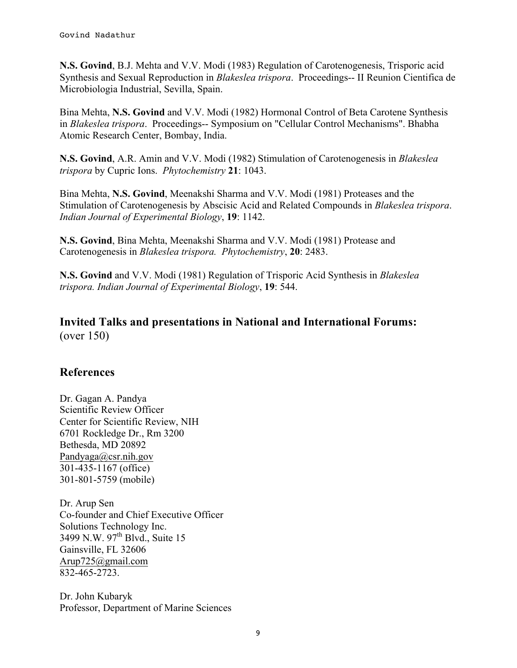**N.S. Govind**, B.J. Mehta and V.V. Modi (1983) Regulation of Carotenogenesis, Trisporic acid Synthesis and Sexual Reproduction in *Blakeslea trispora*. Proceedings-- II Reunion Cientifica de Microbiologia Industrial, Sevilla, Spain.

Bina Mehta, **N.S. Govind** and V.V. Modi (1982) Hormonal Control of Beta Carotene Synthesis in *Blakeslea trispora*. Proceedings-- Symposium on "Cellular Control Mechanisms". Bhabha Atomic Research Center, Bombay, India.

**N.S. Govind**, A.R. Amin and V.V. Modi (1982) Stimulation of Carotenogenesis in *Blakeslea trispora* by Cupric Ions. *Phytochemistry* **21**: 1043.

Bina Mehta, **N.S. Govind**, Meenakshi Sharma and V.V. Modi (1981) Proteases and the Stimulation of Carotenogenesis by Abscisic Acid and Related Compounds in *Blakeslea trispora*. *Indian Journal of Experimental Biology*, **19**: 1142.

**N.S. Govind**, Bina Mehta, Meenakshi Sharma and V.V. Modi (1981) Protease and Carotenogenesis in *Blakeslea trispora. Phytochemistry*, **20**: 2483.

**N.S. Govind** and V.V. Modi (1981) Regulation of Trisporic Acid Synthesis in *Blakeslea trispora. Indian Journal of Experimental Biology*, **19**: 544.

#### **Invited Talks and presentations in National and International Forums:** (over 150)

## **References**

Dr. Gagan A. Pandya Scientific Review Officer Center for Scientific Review, NIH 6701 Rockledge Dr., Rm 3200 Bethesda, MD 20892 Pandyaga@csr.nih.gov 301-435-1167 (office) 301-801-5759 (mobile)

Dr. Arup Sen Co-founder and Chief Executive Officer Solutions Technology Inc. 3499 N.W. 97<sup>th</sup> Blvd., Suite 15 Gainsville, FL 32606 Arup725@gmail.com 832-465-2723.

Dr. John Kubaryk Professor, Department of Marine Sciences